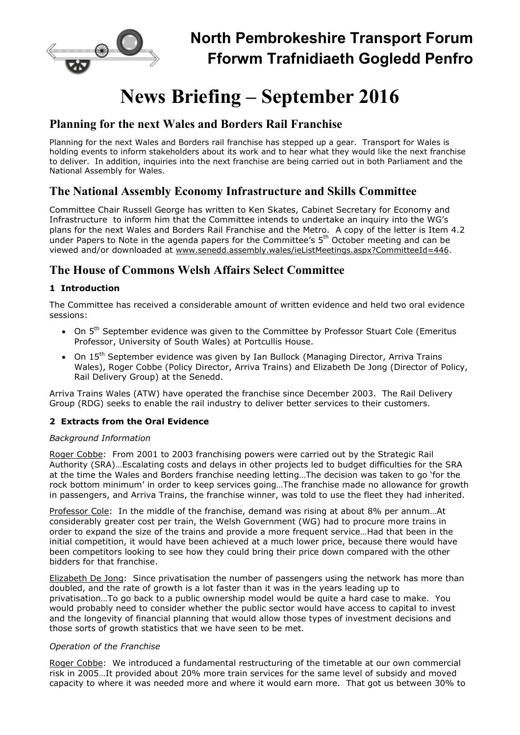

# News Briefing – September 2016

## Planning for the next Wales and Borders Rail Franchise

Planning for the next Wales and Borders rail franchise has stepped up a gear. Transport for Wales is holding events to inform stakeholders about its work and to hear what they would like the next franchise to deliver. In addition, inquiries into the next franchise are being carried out in both Parliament and the National Assembly for Wales.

# The National Assembly Economy Infrastructure and Skills Committee

Committee Chair Russell George has written to Ken Skates, Cabinet Secretary for Economy and Infrastructure to inform him that the Committee intends to undertake an inquiry into the WG's plans for the next Wales and Borders Rail Franchise and the Metro. A copy of the letter is Item 4.2 under Papers to Note in the agenda papers for the Committee's 5th October meeting and can be viewed and/or downloaded at www.senedd.assembly.wales/ieListMeetings.aspx?CommitteeId=446.

# The House of Commons Welsh Affairs Select Committee

## 1 Introduction

The Committee has received a considerable amount of written evidence and held two oral evidence sessions:

- $\bullet$  On  $5^{th}$  September evidence was given to the Committee by Professor Stuart Cole (Emeritus Professor, University of South Wales) at Portcullis House.
- On 15<sup>th</sup> September evidence was given by Ian Bullock (Managing Director, Arriva Trains Wales), Roger Cobbe (Policy Director, Arriva Trains) and Elizabeth De Jong (Director of Policy, Rail Delivery Group) at the Senedd.

Arriva Trains Wales (ATW) have operated the franchise since December 2003. The Rail Delivery Group (RDG) seeks to enable the rail industry to deliver better services to their customers.

### 2 Extracts from the Oral Evidence

#### Background Information

Roger Cobbe: From 2001 to 2003 franchising powers were carried out by the Strategic Rail Authority (SRA)…Escalating costs and delays in other projects led to budget difficulties for the SRA at the time the Wales and Borders franchise needing letting…The decision was taken to go 'for the rock bottom minimum' in order to keep services going…The franchise made no allowance for growth in passengers, and Arriva Trains, the franchise winner, was told to use the fleet they had inherited.

Professor Cole: In the middle of the franchise, demand was rising at about 8% per annum…At considerably greater cost per train, the Welsh Government (WG) had to procure more trains in order to expand the size of the trains and provide a more frequent service…Had that been in the initial competition, it would have been achieved at a much lower price, because there would have been competitors looking to see how they could bring their price down compared with the other bidders for that franchise.

Elizabeth De Jong: Since privatisation the number of passengers using the network has more than doubled, and the rate of growth is a lot faster than it was in the years leading up to privatisation…To go back to a public ownership model would be quite a hard case to make. You would probably need to consider whether the public sector would have access to capital to invest and the longevity of financial planning that would allow those types of investment decisions and those sorts of growth statistics that we have seen to be met.

#### Operation of the Franchise

Roger Cobbe: We introduced a fundamental restructuring of the timetable at our own commercial risk in 2005…It provided about 20% more train services for the same level of subsidy and moved capacity to where it was needed more and where it would earn more. That got us between 30% to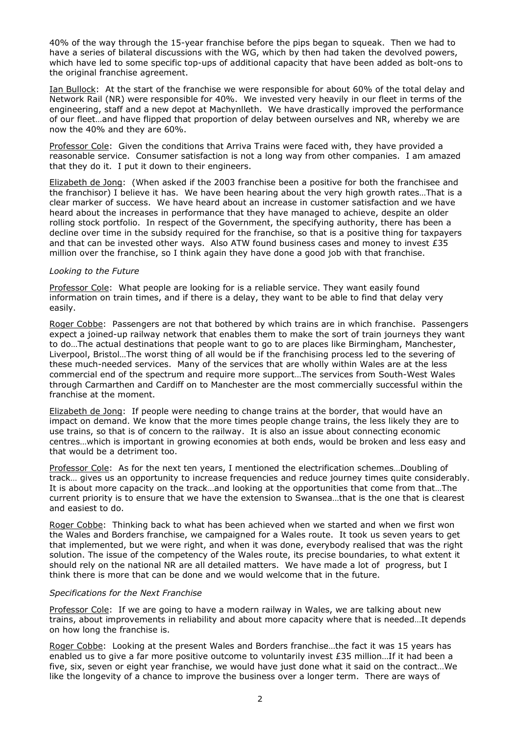40% of the way through the 15-year franchise before the pips began to squeak. Then we had to have a series of bilateral discussions with the WG, which by then had taken the devolved powers, which have led to some specific top-ups of additional capacity that have been added as bolt-ons to the original franchise agreement.

Ian Bullock: At the start of the franchise we were responsible for about 60% of the total delay and Network Rail (NR) were responsible for 40%. We invested very heavily in our fleet in terms of the engineering, staff and a new depot at Machynlleth. We have drastically improved the performance of our fleet…and have flipped that proportion of delay between ourselves and NR, whereby we are now the 40% and they are 60%.

Professor Cole: Given the conditions that Arriva Trains were faced with, they have provided a reasonable service. Consumer satisfaction is not a long way from other companies. I am amazed that they do it. I put it down to their engineers.

Elizabeth de Jong: (When asked if the 2003 franchise been a positive for both the franchisee and the franchisor) I believe it has. We have been hearing about the very high growth rates…That is a clear marker of success. We have heard about an increase in customer satisfaction and we have heard about the increases in performance that they have managed to achieve, despite an older rolling stock portfolio. In respect of the Government, the specifying authority, there has been a decline over time in the subsidy required for the franchise, so that is a positive thing for taxpayers and that can be invested other ways. Also ATW found business cases and money to invest  $£35$ million over the franchise, so I think again they have done a good job with that franchise.

#### Looking to the Future

Professor Cole: What people are looking for is a reliable service. They want easily found information on train times, and if there is a delay, they want to be able to find that delay very easily.

Roger Cobbe: Passengers are not that bothered by which trains are in which franchise. Passengers expect a joined-up railway network that enables them to make the sort of train journeys they want to do…The actual destinations that people want to go to are places like Birmingham, Manchester, Liverpool, Bristol…The worst thing of all would be if the franchising process led to the severing of these much-needed services. Many of the services that are wholly within Wales are at the less commercial end of the spectrum and require more support…The services from South-West Wales through Carmarthen and Cardiff on to Manchester are the most commercially successful within the franchise at the moment.

Elizabeth de Jong: If people were needing to change trains at the border, that would have an impact on demand. We know that the more times people change trains, the less likely they are to use trains, so that is of concern to the railway. It is also an issue about connecting economic centres…which is important in growing economies at both ends, would be broken and less easy and that would be a detriment too.

Professor Cole: As for the next ten years, I mentioned the electrification schemes…Doubling of track… gives us an opportunity to increase frequencies and reduce journey times quite considerably. It is about more capacity on the track…and looking at the opportunities that come from that…The current priority is to ensure that we have the extension to Swansea…that is the one that is clearest and easiest to do.

Roger Cobbe: Thinking back to what has been achieved when we started and when we first won the Wales and Borders franchise, we campaigned for a Wales route. It took us seven years to get that implemented, but we were right, and when it was done, everybody realised that was the right solution. The issue of the competency of the Wales route, its precise boundaries, to what extent it should rely on the national NR are all detailed matters. We have made a lot of progress, but I think there is more that can be done and we would welcome that in the future.

#### Specifications for the Next Franchise

Professor Cole: If we are going to have a modern railway in Wales, we are talking about new trains, about improvements in reliability and about more capacity where that is needed…It depends on how long the franchise is.

Roger Cobbe: Looking at the present Wales and Borders franchise…the fact it was 15 years has enabled us to give a far more positive outcome to voluntarily invest £35 million...If it had been a five, six, seven or eight year franchise, we would have just done what it said on the contract…We like the longevity of a chance to improve the business over a longer term. There are ways of